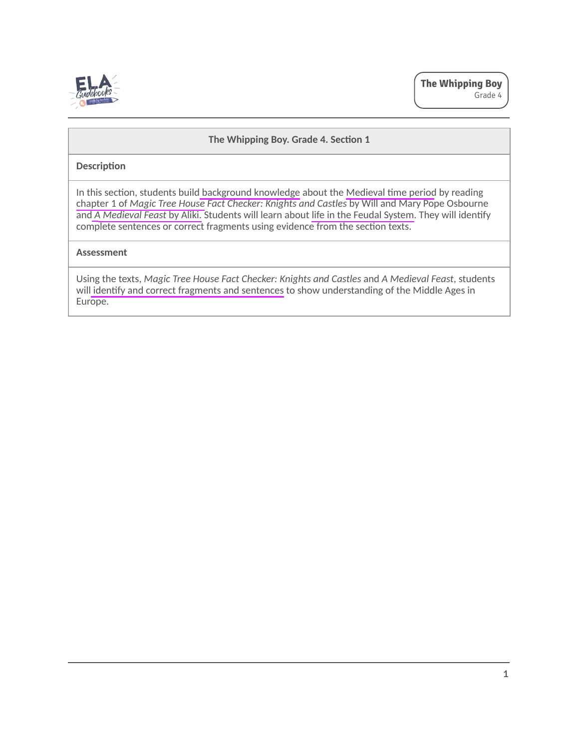

## **The Whipping Boy. Grade 4. Section 1**

#### **Descripࢢon**

In this section, students build background knowledge about the Medieval time period by reading chapter 1 of *Magic Tree House Fact Checker: Knights and Castles* by Will and Mary Pope Osbourne and *A Medieval Feast by Aliki*. Students will learn about life in the Feudal System. They will identify complete sentences or correct fragments using evidence from the section texts.

#### **Assessment**

Using the texts, *Magic Tree House Fact Checker: Knights and Castles* and *A Medieval Feast*, students will identify and correct fragments and sentences to show understanding of the Middle Ages in Europe.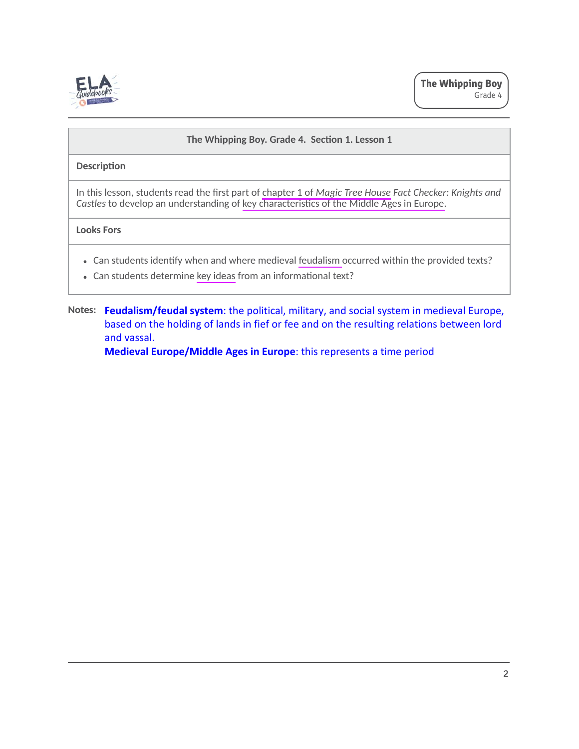

## The Whipping Boy. Grade 4. Section 1. Lesson 1

## **Description**

In this lesson, students read the first part of chapter 1 of *Magic Tree House Fact Checker: Knights and Castles* to develop an understanding of key characteristics of the Middle Ages in Europe.

## **Looks Fors**

- Can students identify when and where medieval feudalism occurred within the provided texts?
- Can students determine key ideas from an informational text?
- **Notes: Feudalism/feudal system**: the political, military, and social system in medieval Europe, based on the holding of lands in fief or fee and on the resulting relations between lord and vassal.

**Medieval Europe/Middle Ages in Europe**: this represents a time period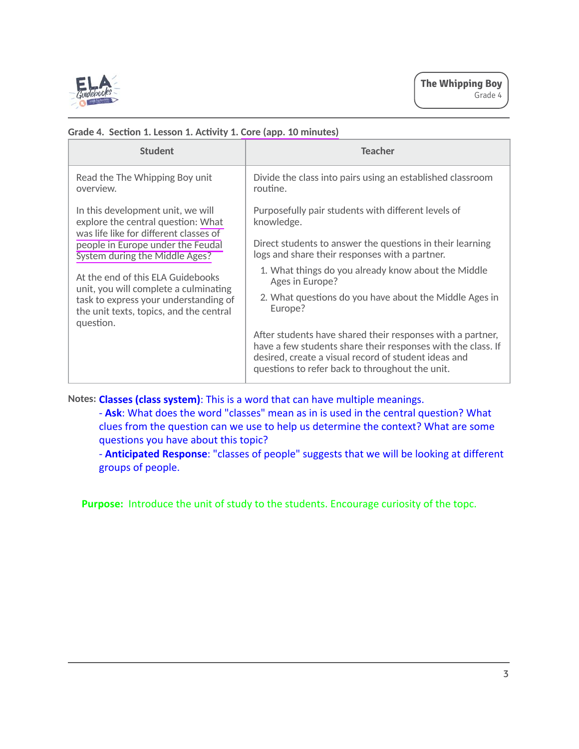

| <b>Student</b>                                                                                                                                                              | <b>Teacher</b>                                                                                                                                                                                                                        |
|-----------------------------------------------------------------------------------------------------------------------------------------------------------------------------|---------------------------------------------------------------------------------------------------------------------------------------------------------------------------------------------------------------------------------------|
| Read the The Whipping Boy unit<br>overview.                                                                                                                                 | Divide the class into pairs using an established classroom<br>routine.                                                                                                                                                                |
| In this development unit, we will<br>explore the central question: What<br>was life like for different classes of                                                           | Purposefully pair students with different levels of<br>knowledge.                                                                                                                                                                     |
| people in Europe under the Feudal<br>System during the Middle Ages?                                                                                                         | Direct students to answer the questions in their learning<br>logs and share their responses with a partner.                                                                                                                           |
| At the end of this ELA Guidebooks<br>unit, you will complete a culminating<br>task to express your understanding of<br>the unit texts, topics, and the central<br>question. | 1. What things do you already know about the Middle<br>Ages in Europe?                                                                                                                                                                |
|                                                                                                                                                                             | 2. What questions do you have about the Middle Ages in<br>Europe?                                                                                                                                                                     |
|                                                                                                                                                                             | After students have shared their responses with a partner,<br>have a few students share their responses with the class. If<br>desired, create a visual record of student ideas and<br>questions to refer back to throughout the unit. |

## **Grade 4. Secࢢon 1. Lesson 1. Acࢢvity 1. Core (app. 10 minutes)**

**Notes: Classes (class system)**: This is a word that can have multiple meanings.

- **Ask**: What does the word "classes" mean as in is used in the central question? What clues from the question can we use to help us determine the context? What are some questions you have about this topic?

- **Anticipated Response**: "classes of people" suggests that we will be looking at different groups of people.

Purpose: Introduce the unit of study to the students. Encourage curiosity of the topc.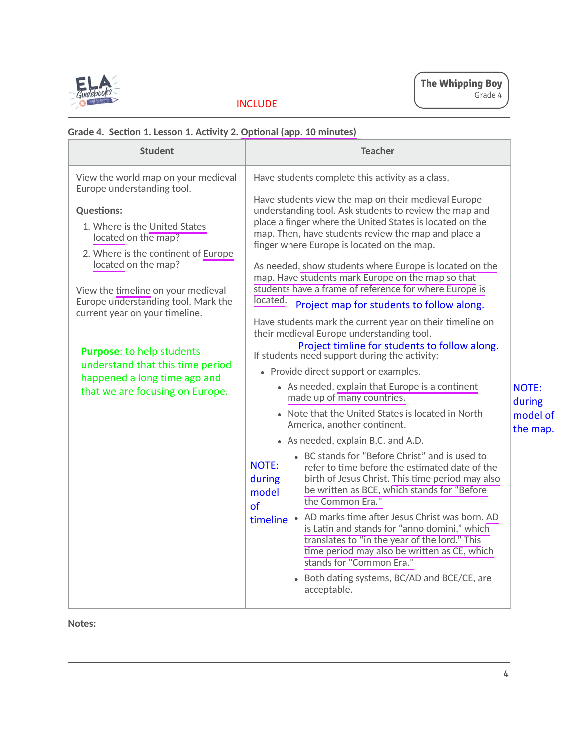

# INCLUDE

**Notes:**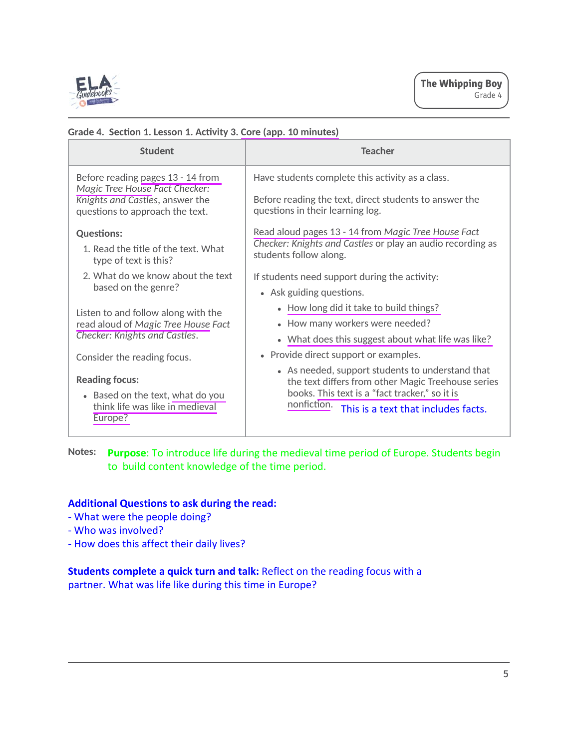

| <b>Student</b>                                                      | <b>Teacher</b>                                                                                                                                           |
|---------------------------------------------------------------------|----------------------------------------------------------------------------------------------------------------------------------------------------------|
| Before reading pages 13 - 14 from<br>Magic Tree House Fact Checker: | Have students complete this activity as a class.                                                                                                         |
| Knights and Castles, answer the<br>questions to approach the text.  | Before reading the text, direct students to answer the<br>questions in their learning log.                                                               |
| <b>Questions:</b>                                                   | Read aloud pages 13 - 14 from Magic Tree House Fact                                                                                                      |
| 1. Read the title of the text. What<br>type of text is this?        | Checker: Knights and Castles or play an audio recording as<br>students follow along.                                                                     |
| 2. What do we know about the text<br>based on the genre?            | If students need support during the activity:                                                                                                            |
|                                                                     | • Ask guiding questions.                                                                                                                                 |
| Listen to and follow along with the                                 | • How long did it take to build things?                                                                                                                  |
| read aloud of Magic Tree House Fact                                 | • How many workers were needed?                                                                                                                          |
| Checker: Knights and Castles.                                       | • What does this suggest about what life was like?                                                                                                       |
| Consider the reading focus.                                         | • Provide direct support or examples.                                                                                                                    |
| <b>Reading focus:</b><br>• Based on the text, what do you           | • As needed, support students to understand that<br>the text differs from other Magic Treehouse series<br>books. This text is a "fact tracker," so it is |
| think life was like in medieval<br>Europe?                          | nonfiction.<br>This is a text that includes facts.                                                                                                       |

## **Grade 4. Secࢢon 1. Lesson 1. Acࢢvity 3. Core (app. 10 minutes)**

**Notes: Purpose**: To introduce life during the medieval time period of Europe. Students begin to build content knowledge of the time period.

# **Additional Questions to ask during the read:**

- What were the people doing?
- Who was involved?
- How does this affect their daily lives?

## **Students complete a quick turn and talk:** Reflect on the reading focus with a partner. What was life like during this time in Europe?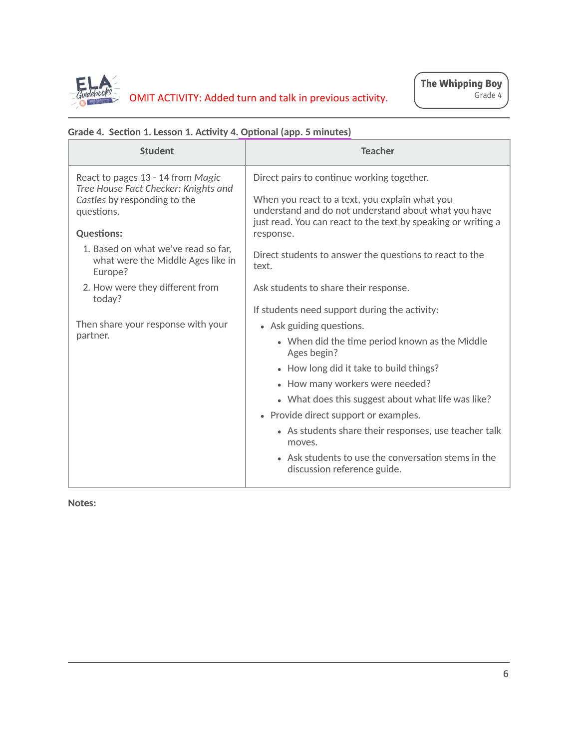

| <b>Student</b>                                                                      | <b>Teacher</b>                                                                                                                                                          |
|-------------------------------------------------------------------------------------|-------------------------------------------------------------------------------------------------------------------------------------------------------------------------|
| React to pages 13 - 14 from Magic<br>Tree House Fact Checker: Knights and           | Direct pairs to continue working together.                                                                                                                              |
| Castles by responding to the<br>questions.                                          | When you react to a text, you explain what you<br>understand and do not understand about what you have<br>just read. You can react to the text by speaking or writing a |
| <b>Questions:</b>                                                                   | response.                                                                                                                                                               |
| 1. Based on what we've read so far,<br>what were the Middle Ages like in<br>Europe? | Direct students to answer the questions to react to the<br>text.                                                                                                        |
| 2. How were they different from<br>today?                                           | Ask students to share their response.                                                                                                                                   |
|                                                                                     | If students need support during the activity:                                                                                                                           |
| Then share your response with your                                                  | • Ask guiding questions.                                                                                                                                                |
| partner.                                                                            | • When did the time period known as the Middle<br>Ages begin?                                                                                                           |
|                                                                                     | • How long did it take to build things?                                                                                                                                 |
|                                                                                     | • How many workers were needed?                                                                                                                                         |
|                                                                                     | • What does this suggest about what life was like?                                                                                                                      |
|                                                                                     | • Provide direct support or examples.                                                                                                                                   |
|                                                                                     | • As students share their responses, use teacher talk<br>moves.                                                                                                         |
|                                                                                     | • Ask students to use the conversation stems in the<br>discussion reference guide.                                                                                      |

# **Grade 4. Secࢢon 1. Lesson 1. Acࢢvity 4. Opࢢonal (app. 5 minutes)**

**Notes:**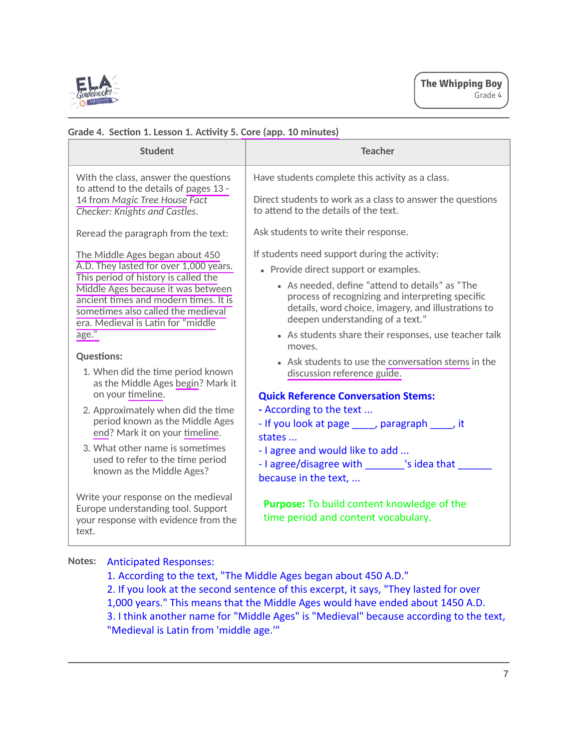

## **Grade 4. Secࢢon 1. Lesson 1. Acࢢvity 5. Core (app. 10 minutes)**

**Notes:** Anticipated Responses:

1. According to the text, "The Middle Ages began about 450 A.D." 2. If you look at the second sentence of this excerpt, it says, "They lasted for over 1,000 years." This means that the Middle Ages would have ended about 1450 A.D. 3. I think another name for "Middle Ages" is "Medieval" because according to the text, "Medieval is Latin from 'middle age.'"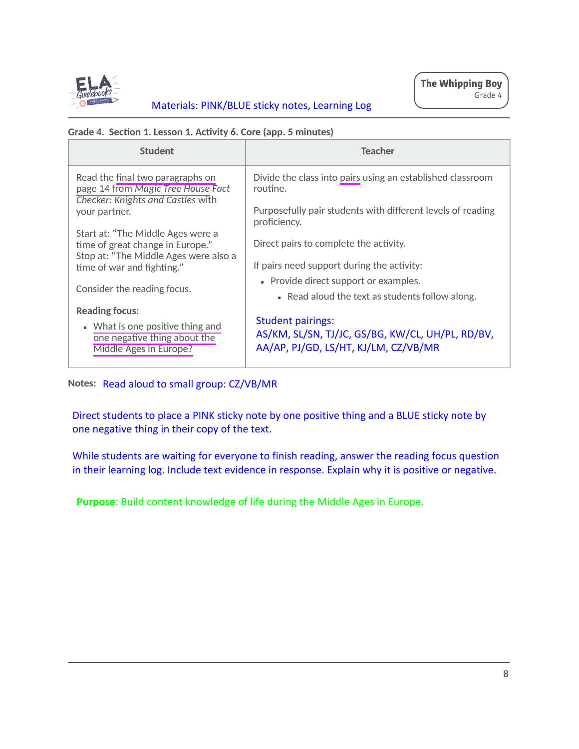

# Materials: PINK/BLUE sticky notes, Learning Log

## **Grade 4. Secࢢon 1. Lesson 1. Acࢢvity 6. Core (app. 5 minutes)**

| <b>Student</b>                                                                                                     | <b>Teacher</b>                                                                                                       |
|--------------------------------------------------------------------------------------------------------------------|----------------------------------------------------------------------------------------------------------------------|
| Read the final two paragraphs on<br>page 14 from Magic Tree House Fact<br><b>Checker: Knights and Castles with</b> | Divide the class into pairs using an established classroom<br>routine.                                               |
| your partner.                                                                                                      | Purposefully pair students with different levels of reading<br>proficiency.                                          |
| Start at: "The Middle Ages were a<br>time of great change in Europe."                                              | Direct pairs to complete the activity.                                                                               |
| Stop at: "The Middle Ages were also a<br>time of war and fighting."                                                | If pairs need support during the activity:                                                                           |
| Consider the reading focus.                                                                                        | • Provide direct support or examples.<br>• Read aloud the text as students follow along.                             |
| <b>Reading focus:</b>                                                                                              |                                                                                                                      |
| • What is one positive thing and<br>one negative thing about the<br>Middle Ages in Europe?                         | <b>Student pairings:</b><br>AS/KM, SL/SN, TJ/JC, GS/BG, KW/CL, UH/PL, RD/BV,<br>AA/AP, PJ/GD, LS/HT, KJ/LM, CZ/VB/MR |

**Notes:** Read aloud to small group: CZ/VB/MR

Direct students to place a PINK sticky note by one positive thing and a BLUE sticky note by one negative thing in their copy of the text.

While students are waiting for everyone to finish reading, answer the reading focus question in their learning log. Include text evidence in response. Explain why it is positive or negative.

**Purpose**: Build content knowledge of life during the Middle Ages in Europe.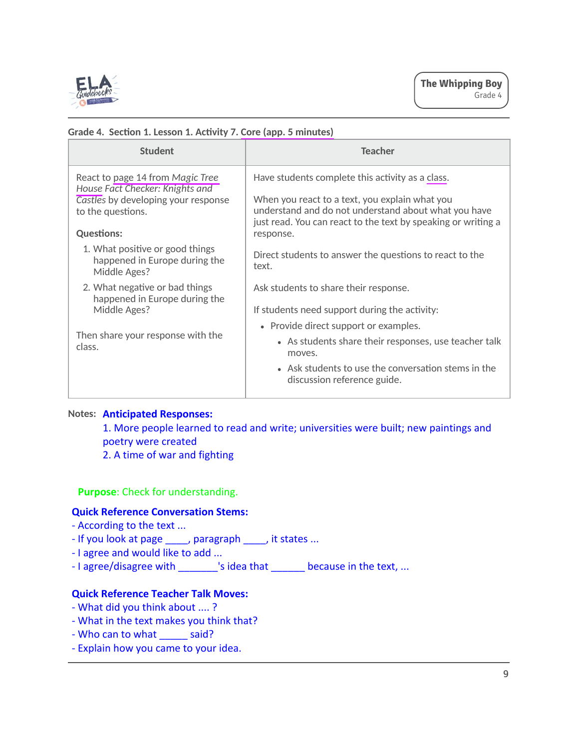

| <b>Student</b>                                                                              | <b>Teacher</b>                                                                                                                                                          |
|---------------------------------------------------------------------------------------------|-------------------------------------------------------------------------------------------------------------------------------------------------------------------------|
| React to page 14 from Magic Tree                                                            | Have students complete this activity as a class.                                                                                                                        |
| House Fact Checker: Knights and<br>Castles by developing your response<br>to the questions. | When you react to a text, you explain what you<br>understand and do not understand about what you have<br>just read. You can react to the text by speaking or writing a |
| <b>Questions:</b>                                                                           | response.                                                                                                                                                               |
| 1. What positive or good things<br>happened in Europe during the<br>Middle Ages?            | Direct students to answer the questions to react to the<br>text.                                                                                                        |
| 2. What negative or bad things<br>happened in Europe during the                             | Ask students to share their response.                                                                                                                                   |
| Middle Ages?                                                                                | If students need support during the activity:                                                                                                                           |
| Then share your response with the<br>class.                                                 | • Provide direct support or examples.                                                                                                                                   |
|                                                                                             | • As students share their responses, use teacher talk<br>moves.                                                                                                         |
|                                                                                             | • Ask students to use the conversation stems in the<br>discussion reference guide.                                                                                      |
|                                                                                             |                                                                                                                                                                         |

## **Grade 4. Secࢢon 1. Lesson 1. Acࢢvity 7. Core (app. 5 minutes)**

## **Notes: Anticipated Responses:**

1. More people learned to read and write; universities were built; new paintings and poetry were created

2. A time of war and fighting

**Purpose**: Check for understanding.

## **Quick Reference Conversation Stems:**

- According to the text ...
- If you look at page \_\_\_\_, paragraph \_\_\_\_, it states ...
- I agree and would like to add ...
- I agree/disagree with \_\_\_\_\_\_\_\_'s idea that \_\_\_\_\_\_\_ because in the text, ...

# **Quick Reference Teacher Talk Moves:**

- What did you think about .... ?
- What in the text makes you think that?
- Who can to what \_\_\_\_\_\_ said?
- Explain how you came to your idea.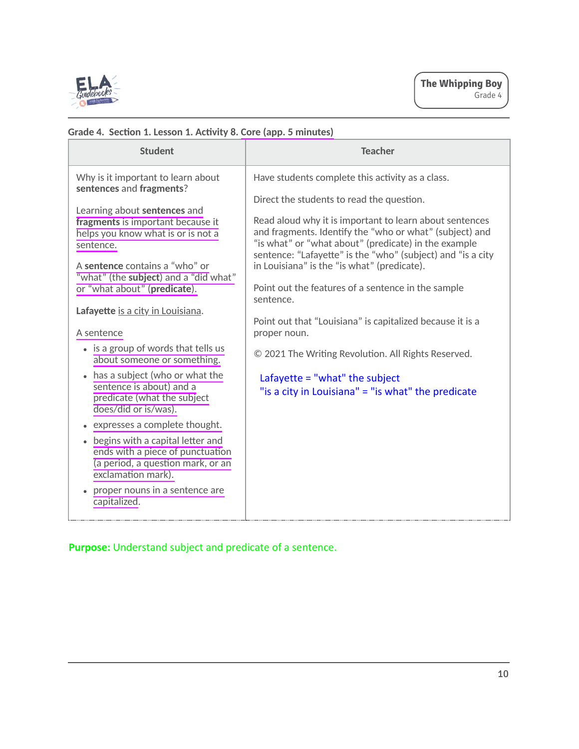

| <b>Student</b>                                                                                                                                         | <b>Teacher</b>                                                                                                                                                                                                                                                                           |
|--------------------------------------------------------------------------------------------------------------------------------------------------------|------------------------------------------------------------------------------------------------------------------------------------------------------------------------------------------------------------------------------------------------------------------------------------------|
| Why is it important to learn about<br>sentences and fragments?                                                                                         | Have students complete this activity as a class.                                                                                                                                                                                                                                         |
|                                                                                                                                                        | Direct the students to read the question.                                                                                                                                                                                                                                                |
| Learning about sentences and<br>fragments is important because it<br>helps you know what is or is not a<br>sentence.<br>A sentence contains a "who" or | Read aloud why it is important to learn about sentences<br>and fragments. Identify the "who or what" (subject) and<br>"is what" or "what about" (predicate) in the example<br>sentence: "Lafayette" is the "who" (subject) and "is a city<br>in Louisiana" is the "is what" (predicate). |
| "what" (the subject) and a "did what"<br>or "what about" (predicate).                                                                                  | Point out the features of a sentence in the sample<br>sentence.                                                                                                                                                                                                                          |
| Lafayette is a city in Louisiana.                                                                                                                      |                                                                                                                                                                                                                                                                                          |
| A sentence                                                                                                                                             | Point out that "Louisiana" is capitalized because it is a<br>proper noun.                                                                                                                                                                                                                |
| • is a group of words that tells us<br>about someone or something.                                                                                     | © 2021 The Writing Revolution. All Rights Reserved.                                                                                                                                                                                                                                      |
| has a subject (who or what the<br>sentence is about) and a<br>predicate (what the subject<br>does/did or is/was).                                      | Lafayette = "what" the subject<br>"is a city in Louisiana" = "is what" the predicate                                                                                                                                                                                                     |
| expresses a complete thought.                                                                                                                          |                                                                                                                                                                                                                                                                                          |
| begins with a capital letter and<br>ends with a piece of punctuation<br>(a period, a question mark, or an<br>exclamation mark).                        |                                                                                                                                                                                                                                                                                          |
| proper nouns in a sentence are<br>capitalized.                                                                                                         |                                                                                                                                                                                                                                                                                          |

# **Grade 4. Secࢢon 1. Lesson 1. Acࢢvity 8. Core (app. 5 minutes)**

**Purpose:** Understand subject and predicate of a sentence.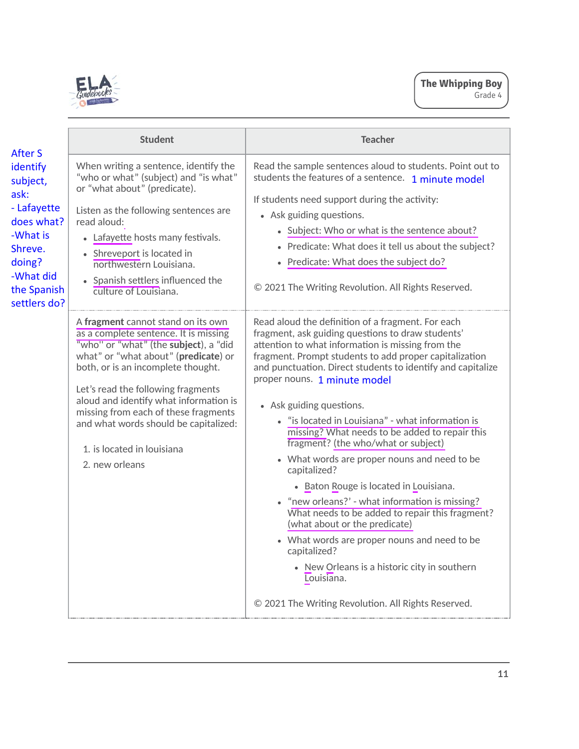

| After S                                                                                                                                | <b>Student</b>                                                                                                                                                                                                                                                                                                                                                                                                      | <b>Teacher</b>                                                                                                                                                                                                                                                                                                                                                                                                                                                                                                                                                                                                                                                                                                                                                                                                                                                                                                                     |
|----------------------------------------------------------------------------------------------------------------------------------------|---------------------------------------------------------------------------------------------------------------------------------------------------------------------------------------------------------------------------------------------------------------------------------------------------------------------------------------------------------------------------------------------------------------------|------------------------------------------------------------------------------------------------------------------------------------------------------------------------------------------------------------------------------------------------------------------------------------------------------------------------------------------------------------------------------------------------------------------------------------------------------------------------------------------------------------------------------------------------------------------------------------------------------------------------------------------------------------------------------------------------------------------------------------------------------------------------------------------------------------------------------------------------------------------------------------------------------------------------------------|
| identify<br>subject,<br>ask:<br>- Lafayette<br>does what?<br>-What is<br>Shreve.<br>doing?<br>-What did<br>the Spanish<br>settlers do? | When writing a sentence, identify the<br>"who or what" (subject) and "is what"<br>or "what about" (predicate).<br>Listen as the following sentences are<br>read aloud:<br>• Lafayette hosts many festivals.<br>• Shreveport is located in<br>northwestern Louisiana.<br>• Spanish settlers influenced the<br>culture of Louisiana.                                                                                  | Read the sample sentences aloud to students. Point out to<br>students the features of a sentence. 1 minute model<br>If students need support during the activity:<br>• Ask guiding questions.<br>• Subject: Who or what is the sentence about?<br>• Predicate: What does it tell us about the subject?<br>• Predicate: What does the subject do?<br>© 2021 The Writing Revolution. All Rights Reserved.                                                                                                                                                                                                                                                                                                                                                                                                                                                                                                                            |
|                                                                                                                                        | A fragment cannot stand on its own<br>as a complete sentence. It is missing<br>"who" or "what" (the subject), a "did<br>what" or "what about" (predicate) or<br>both, or is an incomplete thought.<br>Let's read the following fragments<br>aloud and identify what information is<br>missing from each of these fragments<br>and what words should be capitalized:<br>1. is located in louisiana<br>2. new orleans | Read aloud the definition of a fragment. For each<br>fragment, ask guiding questions to draw students'<br>attention to what information is missing from the<br>fragment. Prompt students to add proper capitalization<br>and punctuation. Direct students to identify and capitalize<br>proper nouns. 1 minute model<br>• Ask guiding questions.<br>• "is located in Louisiana" - what information is<br>missing? What needs to be added to repair this<br>fragment? (the who/what or subject)<br>• What words are proper nouns and need to be<br>capitalized?<br>• Baton Rouge is located in Louisiana.<br>"new orleans?' - what information is missing?<br>What needs to be added to repair this fragment?<br>(what about or the predicate)<br>• What words are proper nouns and need to be<br>capitalized?<br>• New Orleans is a historic city in southern<br>Louisiana.<br>© 2021 The Writing Revolution. All Rights Reserved. |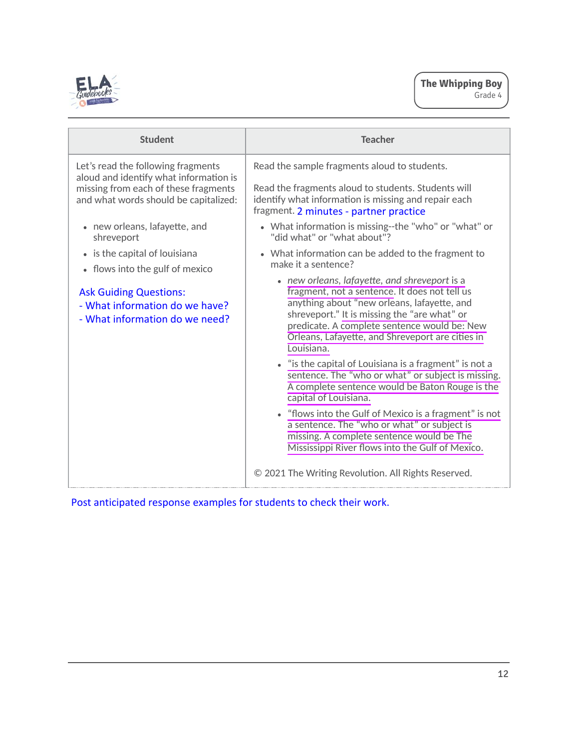

| <b>Student</b>                                                                                                                       | <b>Teacher</b>                                                                                                                                                                                                                                                                                                  |
|--------------------------------------------------------------------------------------------------------------------------------------|-----------------------------------------------------------------------------------------------------------------------------------------------------------------------------------------------------------------------------------------------------------------------------------------------------------------|
| Let's read the following fragments<br>aloud and identify what information is                                                         | Read the sample fragments aloud to students.                                                                                                                                                                                                                                                                    |
| missing from each of these fragments<br>and what words should be capitalized:                                                        | Read the fragments aloud to students. Students will<br>identify what information is missing and repair each<br>fragment. 2 minutes - partner practice                                                                                                                                                           |
| • new orleans, lafayette, and<br>shreveport                                                                                          | • What information is missing--the "who" or "what" or<br>"did what" or "what about"?                                                                                                                                                                                                                            |
| • is the capital of louisiana                                                                                                        | • What information can be added to the fragment to<br>make it a sentence?                                                                                                                                                                                                                                       |
| • flows into the gulf of mexico<br><b>Ask Guiding Questions:</b><br>- What information do we have?<br>- What information do we need? | • new orleans, lafayette, and shreveport is a<br>fragment, not a sentence. It does not tell us<br>anything about "new orleans, lafayette, and<br>shreveport." It is missing the "are what" or<br>predicate. A complete sentence would be: New<br>Orleans, Lafayette, and Shreveport are cities in<br>Louisiana. |
|                                                                                                                                      | • "is the capital of Louisiana is a fragment" is not a<br>sentence. The "who or what" or subject is missing.<br>A complete sentence would be Baton Rouge is the<br>capital of Louisiana.                                                                                                                        |
|                                                                                                                                      | • "flows into the Gulf of Mexico is a fragment" is not<br>a sentence. The "who or what" or subject is<br>missing. A complete sentence would be The<br>Mississippi River flows into the Gulf of Mexico.                                                                                                          |
|                                                                                                                                      | © 2021 The Writing Revolution. All Rights Reserved.                                                                                                                                                                                                                                                             |

Post anticipated response examples for students to check their work.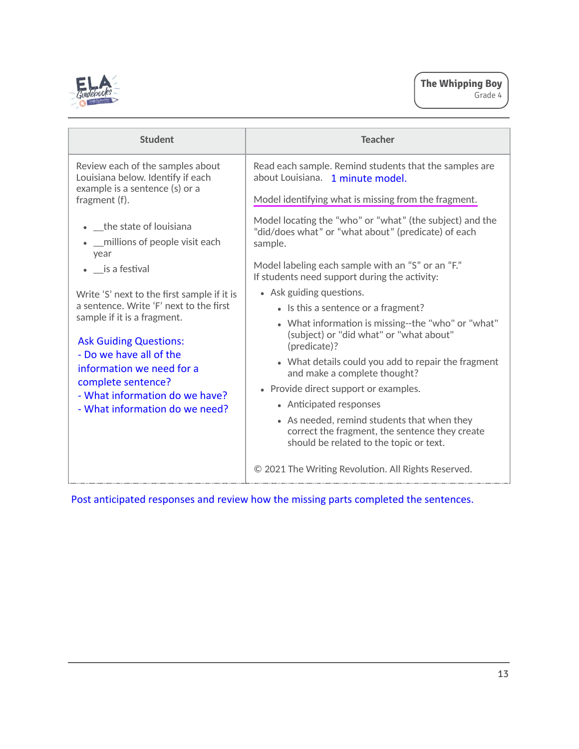

| <b>Student</b>                                                                                                                                                                                                                                                                                           | <b>Teacher</b>                                                                                                                                     |
|----------------------------------------------------------------------------------------------------------------------------------------------------------------------------------------------------------------------------------------------------------------------------------------------------------|----------------------------------------------------------------------------------------------------------------------------------------------------|
| Review each of the samples about<br>Louisiana below. Identify if each<br>example is a sentence (s) or a<br>fragment (f).                                                                                                                                                                                 | Read each sample. Remind students that the samples are<br>about Louisiana. 1 minute model.<br>Model identifying what is missing from the fragment. |
| • _the state of louisiana<br>_ millions of people visit each<br>year                                                                                                                                                                                                                                     | Model locating the "who" or "what" (the subject) and the<br>"did/does what" or "what about" (predicate) of each<br>sample.                         |
| • is a festival                                                                                                                                                                                                                                                                                          | Model labeling each sample with an "S" or an "F."<br>If students need support during the activity:                                                 |
| Write 'S' next to the first sample if it is<br>a sentence. Write 'F' next to the first<br>sample if it is a fragment.<br><b>Ask Guiding Questions:</b><br>- Do we have all of the<br>information we need for a<br>complete sentence?<br>- What information do we have?<br>- What information do we need? | • Ask guiding questions.                                                                                                                           |
|                                                                                                                                                                                                                                                                                                          | • Is this a sentence or a fragment?                                                                                                                |
|                                                                                                                                                                                                                                                                                                          | • What information is missing--the "who" or "what"<br>(subject) or "did what" or "what about"<br>(predicate)?                                      |
|                                                                                                                                                                                                                                                                                                          | • What details could you add to repair the fragment<br>and make a complete thought?                                                                |
|                                                                                                                                                                                                                                                                                                          | • Provide direct support or examples.                                                                                                              |
|                                                                                                                                                                                                                                                                                                          | • Anticipated responses                                                                                                                            |
|                                                                                                                                                                                                                                                                                                          | • As needed, remind students that when they<br>correct the fragment, the sentence they create<br>should be related to the topic or text.           |
|                                                                                                                                                                                                                                                                                                          | © 2021 The Writing Revolution. All Rights Reserved.                                                                                                |

Post anticipated responses and review how the missing parts completed the sentences.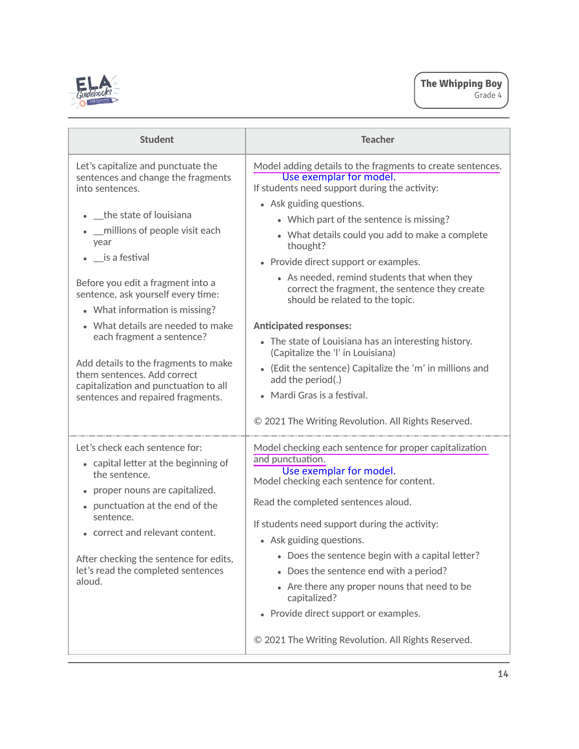

| <b>Student</b>                                                                                                                                                                                                                                                                                                                                                                | <b>Teacher</b>                                                                                                                                                                                                                                                                                                                                                                                                                                                                                                                                                                           |
|-------------------------------------------------------------------------------------------------------------------------------------------------------------------------------------------------------------------------------------------------------------------------------------------------------------------------------------------------------------------------------|------------------------------------------------------------------------------------------------------------------------------------------------------------------------------------------------------------------------------------------------------------------------------------------------------------------------------------------------------------------------------------------------------------------------------------------------------------------------------------------------------------------------------------------------------------------------------------------|
| Let's capitalize and punctuate the<br>sentences and change the fragments<br>into sentences.<br>• the state of louisiana<br>__millions of people visit each<br>year<br>$\bullet$ _is a festival<br>Before you edit a fragment into a<br>sentence, ask yourself every time:<br>• What information is missing?<br>• What details are needed to make<br>each fragment a sentence? | Model adding details to the fragments to create sentences.<br>Use exemplar for model.<br>If students need support during the activity:<br>• Ask guiding questions.<br>• Which part of the sentence is missing?<br>• What details could you add to make a complete<br>thought?<br>• Provide direct support or examples.<br>• As needed, remind students that when they<br>correct the fragment, the sentence they create<br>should be related to the topic.<br><b>Anticipated responses:</b><br>• The state of Louisiana has an interesting history.<br>(Capitalize the 'l' in Louisiana) |
| Add details to the fragments to make<br>them sentences. Add correct<br>capitalization and punctuation to all<br>sentences and repaired fragments.                                                                                                                                                                                                                             | • (Edit the sentence) Capitalize the 'm' in millions and<br>add the period(.)<br>• Mardi Gras is a festival.<br>© 2021 The Writing Revolution. All Rights Reserved.                                                                                                                                                                                                                                                                                                                                                                                                                      |
| Let's check each sentence for:<br>• capital letter at the beginning of<br>the sentence.<br>• proper nouns are capitalized.<br>• punctuation at the end of the<br>sentence.<br>• correct and relevant content.<br>After checking the sentence for edits,<br>let's read the completed sentences<br>aloud.                                                                       | Model checking each sentence for proper capitalization<br>and punctuation.<br>Use exemplar for model.<br>Model checking each sentence for content.<br>Read the completed sentences aloud.<br>If students need support during the activity:<br>• Ask guiding questions.<br>• Does the sentence begin with a capital letter?<br>Does the sentence end with a period?<br>$\bullet$<br>• Are there any proper nouns that need to be<br>capitalized?<br>Provide direct support or examples.<br>$\bullet$<br>© 2021 The Writing Revolution. All Rights Reserved.                               |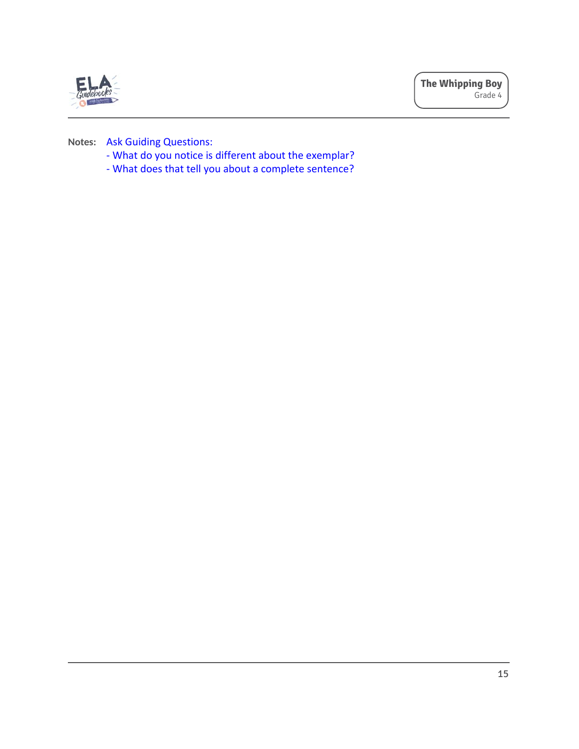

**Notes:** Ask Guiding Questions:

- What do you notice is different about the exemplar?
- What does that tell you about a complete sentence?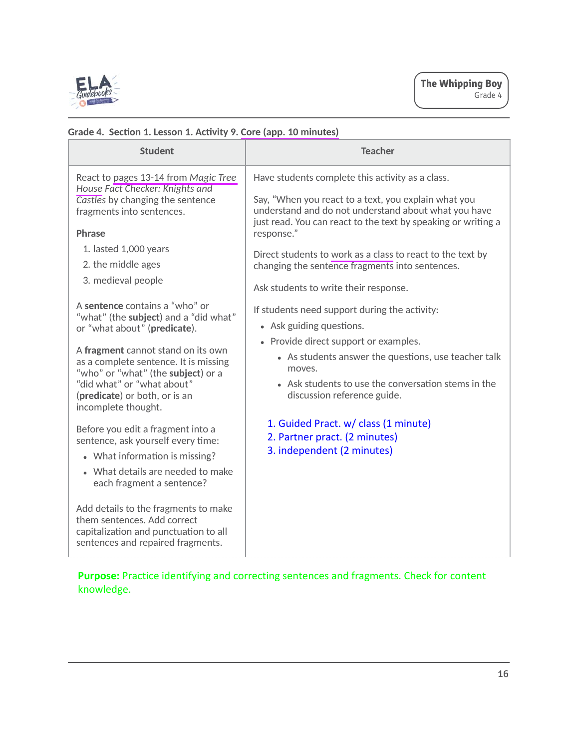

| <b>Student</b>                                                                                                                                                                                                                                                                                                                   | <b>Teacher</b>                                                                                                                                                                                                                                                             |
|----------------------------------------------------------------------------------------------------------------------------------------------------------------------------------------------------------------------------------------------------------------------------------------------------------------------------------|----------------------------------------------------------------------------------------------------------------------------------------------------------------------------------------------------------------------------------------------------------------------------|
| React to pages 13-14 from Magic Tree<br>House Fact Checker: Knights and                                                                                                                                                                                                                                                          | Have students complete this activity as a class.                                                                                                                                                                                                                           |
| Castles by changing the sentence<br>fragments into sentences.                                                                                                                                                                                                                                                                    | Say, "When you react to a text, you explain what you<br>understand and do not understand about what you have<br>just read. You can react to the text by speaking or writing a                                                                                              |
| Phrase                                                                                                                                                                                                                                                                                                                           | response."                                                                                                                                                                                                                                                                 |
| 1. lasted 1,000 years                                                                                                                                                                                                                                                                                                            | Direct students to work as a class to react to the text by                                                                                                                                                                                                                 |
| 2. the middle ages                                                                                                                                                                                                                                                                                                               | changing the sentence fragments into sentences.                                                                                                                                                                                                                            |
| 3. medieval people                                                                                                                                                                                                                                                                                                               | Ask students to write their response.                                                                                                                                                                                                                                      |
| A sentence contains a "who" or<br>"what" (the subject) and a "did what"<br>or "what about" (predicate).<br>A fragment cannot stand on its own<br>as a complete sentence. It is missing<br>"who" or "what" (the subject) or a<br>"did what" or "what about"<br>(predicate) or both, or is an<br>incomplete thought.               | If students need support during the activity:<br>• Ask guiding questions.<br>• Provide direct support or examples.<br>• As students answer the questions, use teacher talk<br>moves.<br>• Ask students to use the conversation stems in the<br>discussion reference guide. |
| Before you edit a fragment into a<br>sentence, ask yourself every time:<br>• What information is missing?<br>• What details are needed to make<br>each fragment a sentence?<br>Add details to the fragments to make<br>them sentences. Add correct<br>capitalization and punctuation to all<br>sentences and repaired fragments. | 1. Guided Pract. w/ class (1 minute)<br>2. Partner pract. (2 minutes)<br>3. independent (2 minutes)                                                                                                                                                                        |

# **Grade 4. Secࢢon 1. Lesson 1. Acࢢvity 9. Core (app. 10 minutes)**

**Purpose:** Practice identifying and correcting sentences and fragments. Check for content knowledge.